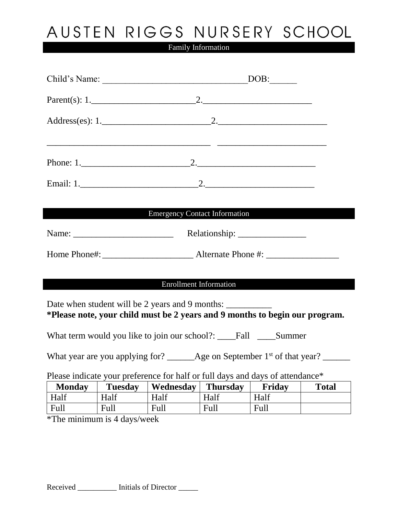## AUSTEN RIGGS NURSERY SCHOOL

Family Information

|                                                                                                              |                | <b>Emergency Contact Information</b>                              |                 |             |              |  |
|--------------------------------------------------------------------------------------------------------------|----------------|-------------------------------------------------------------------|-----------------|-------------|--------------|--|
|                                                                                                              |                |                                                                   |                 |             |              |  |
|                                                                                                              |                |                                                                   |                 |             |              |  |
|                                                                                                              |                |                                                                   |                 |             |              |  |
| <b>Enrollment Information</b><br>*Please note, your child must be 2 years and 9 months to begin our program. |                |                                                                   |                 |             |              |  |
|                                                                                                              |                | What term would you like to join our school?: ____Fall ____Summer |                 |             |              |  |
| What year are you applying for? ______Age on September 1 <sup>st</sup> of that year? ______                  |                |                                                                   |                 |             |              |  |
| Please indicate your preference for half or full days and days of attendance*                                |                |                                                                   |                 |             |              |  |
| <b>Monday</b>                                                                                                | <b>Tuesday</b> | Wednesday                                                         | <b>Thursday</b> | Friday      | <b>Total</b> |  |
| Half                                                                                                         | Half           | Half                                                              | Half            | Half        |              |  |
| <b>Full</b>                                                                                                  | Full           | Full                                                              | Full            | <b>Full</b> |              |  |

\*The minimum is 4 days/week

| Received | Initials of Director |
|----------|----------------------|
|----------|----------------------|